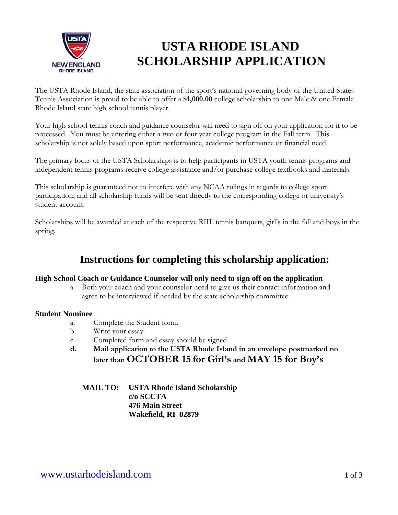

# **USTA RHODE ISLAND SCHOLARSHIP APPLICATION**

The USTA Rhode Island, the state association of the sport's national governing body of the United States Tennis Association is proud to be able to offer a **\$1,000.00** college scholarship to one Male & one Female Rhode Island state high school tennis player.

Your high school tennis coach and guidance counselor will need to sign off on your application for it to be processed. You must be entering either a two or four year college program in the Fall term. This scholarship is not solely based upon sport performance, academic performance or financial need.

The primary focus of the USTA Scholarships is to help participants in USTA youth tennis programs and independent tennis programs receive college assistance and/or purchase college textbooks and materials.

This scholarship is guaranteed not to interfere with any NCAA rulings in regards to college sport participation, and all scholarship funds will be sent directly to the corresponding college or university's student account.

Scholarships will be awarded at each of the respective RIIL tennis banquets, girl's in the fall and boys in the spring.

### **Instructions for completing this scholarship application:**

#### **High School Coach or Guidance Counselor will only need to sign off on the application**

a. Both your coach and your counselor need to give us their contact information and agree to be interviewed if needed by the state scholarship committee.

#### **Student Nominee**

- a. Complete the Student form.
- b. Write your essay.
- c. Completed form and essay should be signed
- **d. Mail application to the USTA Rhode Island in an envelope postmarked no later than OCTOBER 15 for Girl's and MAY 15 for Boy's**

**MAIL TO: USTA Rhode Island Scholarship c/o SCCTA 476 Main Street Wakefield, RI 02879**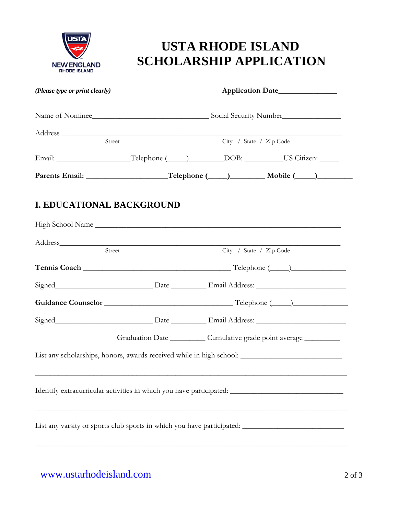

# **USTA RHODE ISLAND SCHOLARSHIP APPLICATION**

| (Please type or print clearly) |                                                                                      | Application Date |                                                                                                      |  |
|--------------------------------|--------------------------------------------------------------------------------------|------------------|------------------------------------------------------------------------------------------------------|--|
|                                |                                                                                      |                  |                                                                                                      |  |
|                                | Address Street                                                                       |                  | City / State / Zip Code                                                                              |  |
|                                | Email: ___________________Telephone (_____)________DOB: __________US Citizen: ______ |                  |                                                                                                      |  |
|                                |                                                                                      |                  |                                                                                                      |  |
| I. EDUCATIONAL BACKGROUND      |                                                                                      |                  |                                                                                                      |  |
|                                |                                                                                      |                  |                                                                                                      |  |
|                                | Street                                                                               |                  | City / State / Zip Code                                                                              |  |
|                                |                                                                                      |                  |                                                                                                      |  |
|                                |                                                                                      |                  |                                                                                                      |  |
|                                |                                                                                      |                  |                                                                                                      |  |
|                                |                                                                                      |                  |                                                                                                      |  |
|                                |                                                                                      |                  | Graduation Date ___________ Cumulative grade point average __________                                |  |
|                                |                                                                                      |                  | List any scholarships, honors, awards received while in high school: _______________________________ |  |
|                                |                                                                                      |                  | Identify extracurricular activities in which you have participated: ________________________________ |  |
|                                |                                                                                      |                  | List any varsity or sports club sports in which you have participated: ____________________________  |  |
|                                |                                                                                      |                  |                                                                                                      |  |